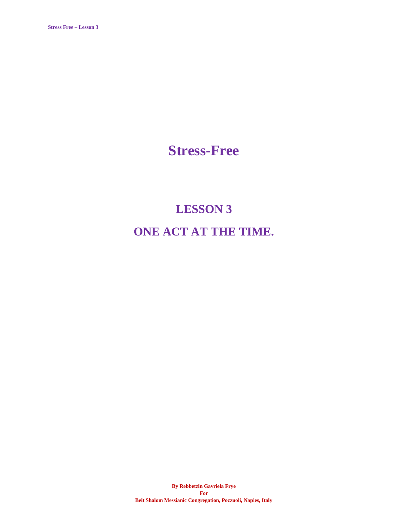**Stress-Free**

# **LESSON 3 ONE ACT AT THE TIME.**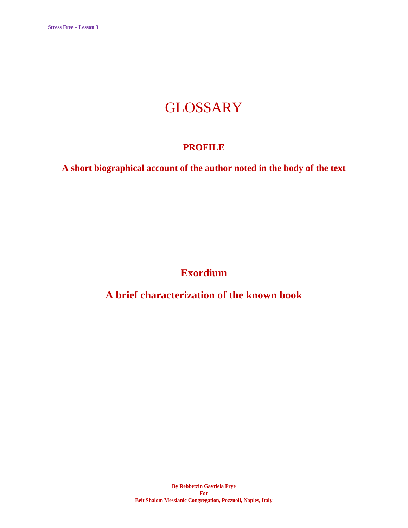## **GLOSSARY**

### **PROFILE**

**A short biographical account of the author noted in the body of the text**

**Exordium**

**A brief characterization of the known book**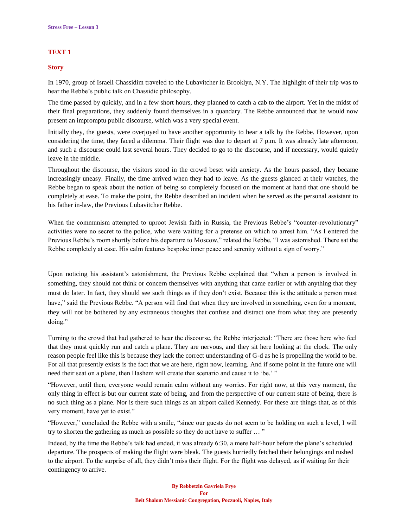#### **TEXT 1**

#### **Story**

In 1970, group of Israeli Chassidim traveled to the Lubavitcher in Brooklyn, N.Y. The highlight of their trip was to hear the Rebbe's public talk on Chassidic philosophy.

The time passed by quickly, and in a few short hours, they planned to catch a cab to the airport. Yet in the midst of their final preparations, they suddenly found themselves in a quandary. The Rebbe announced that he would now present an impromptu public discourse, which was a very special event.

Initially they, the guests, were overjoyed to have another opportunity to hear a talk by the Rebbe. However, upon considering the time, they faced a dilemma. Their flight was due to depart at 7 p.m. It was already late afternoon, and such a discourse could last several hours. They decided to go to the discourse, and if necessary, would quietly leave in the middle.

Throughout the discourse, the visitors stood in the crowd beset with anxiety. As the hours passed, they became increasingly uneasy. Finally, the time arrived when they had to leave. As the guests glanced at their watches, the Rebbe began to speak about the notion of being so completely focused on the moment at hand that one should be completely at ease. To make the point, the Rebbe described an incident when he served as the personal assistant to his father in-law, the Previous Lubavitcher Rebbe.

When the communism attempted to uproot Jewish faith in Russia, the Previous Rebbe's "counter-revolutionary" activities were no secret to the police, who were waiting for a pretense on which to arrest him. "As I entered the Previous Rebbe's room shortly before his departure to Moscow," related the Rebbe, "I was astonished. There sat the Rebbe completely at ease. His calm features bespoke inner peace and serenity without a sign of worry."

Upon noticing his assistant's astonishment, the Previous Rebbe explained that "when a person is involved in something, they should not think or concern themselves with anything that came earlier or with anything that they must do later. In fact, they should see such things as if they don't exist. Because this is the attitude a person must have," said the Previous Rebbe. "A person will find that when they are involved in something, even for a moment, they will not be bothered by any extraneous thoughts that confuse and distract one from what they are presently doing."

Turning to the crowd that had gathered to hear the discourse, the Rebbe interjected: "There are those here who feel that they must quickly run and catch a plane. They are nervous, and they sit here looking at the clock. The only reason people feel like this is because they lack the correct understanding of G-d as he is propelling the world to be. For all that presently exists is the fact that we are here, right now, learning. And if some point in the future one will need their seat on a plane, then Hashem will create that scenario and cause it to 'be.' "

"However, until then, everyone would remain calm without any worries. For right now, at this very moment, the only thing in effect is but our current state of being, and from the perspective of our current state of being, there is no such thing as a plane. Nor is there such things as an airport called Kennedy. For these are things that, as of this very moment, have yet to exist."

"However," concluded the Rebbe with a smile, "since our guests do not seem to be holding on such a level, I will try to shorten the gathering as much as possible so they do not have to suffer … "

Indeed, by the time the Rebbe's talk had ended, it was already 6:30, a mere half-hour before the plane's scheduled departure. The prospects of making the flight were bleak. The guests hurriedly fetched their belongings and rushed to the airport. To the surprise of all, they didn't miss their flight. For the flight was delayed, as if waiting for their contingency to arrive.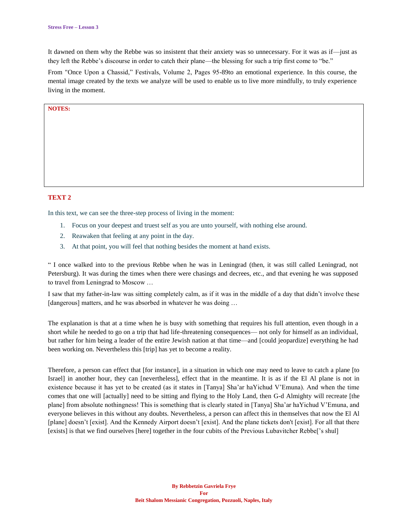It dawned on them why the Rebbe was so insistent that their anxiety was so unnecessary. For it was as if—just as they left the Rebbe's discourse in order to catch their plane—the blessing for such a trip first come to "be."

From "Once Upon a Chassid," Festivals, Volume 2, Pages 95-89to an emotional experience. In this course, the mental image created by the texts we analyze will be used to enable us to live more mindfully, to truly experience living in the moment.

#### **NOTES:**

#### **TEXT 2**

In this text, we can see the three-step process of living in the moment:

- 1. Focus on your deepest and truest self as you are unto yourself, with nothing else around.
- 2. Reawaken that feeling at any point in the day.
- 3. At that point, you will feel that nothing besides the moment at hand exists.

" I once walked into to the previous Rebbe when he was in Leningrad (then, it was still called Leningrad, not Petersburg). It was during the times when there were chasings and decrees, etc., and that evening he was supposed to travel from Leningrad to Moscow …

I saw that my father-in-law was sitting completely calm, as if it was in the middle of a day that didn't involve these [dangerous] matters, and he was absorbed in whatever he was doing ...

The explanation is that at a time when he is busy with something that requires his full attention, even though in a short while he needed to go on a trip that had life-threatening consequences— not only for himself as an individual, but rather for him being a leader of the entire Jewish nation at that time—and [could jeopardize] everything he had been working on. Nevertheless this [trip] has yet to become a reality.

Therefore, a person can effect that [for instance], in a situation in which one may need to leave to catch a plane [to Israel] in another hour, they can [nevertheless], effect that in the meantime. It is as if the El Al plane is not in existence because it has yet to be created (as it states in [Tanya] Sha'ar haYichud V'Emuna). And when the time comes that one will [actually] need to be sitting and flying to the Holy Land, then G-d Almighty will recreate [the plane] from absolute nothingness! This is something that is clearly stated in [Tanya] Sha'ar haYichud V'Emuna, and everyone believes in this without any doubts. Nevertheless, a person can affect this in themselves that now the El Al [plane] doesn't [exist]. And the Kennedy Airport doesn't [exist]. And the plane tickets don't [exist]. For all that there [exists] is that we find ourselves [here] together in the four cubits of the Previous Lubavitcher Rebbe['s shul]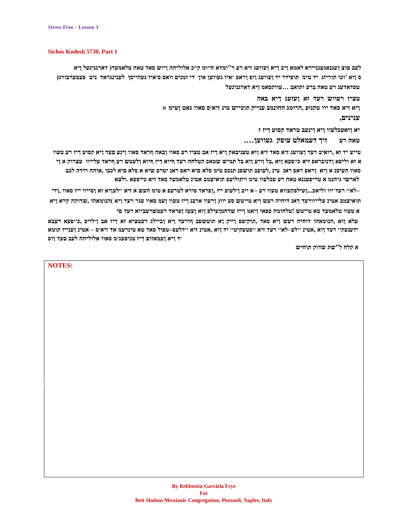#### **Sichos Kodesh 5730, Part 1**

לעב םוצ ועגנאגעגניירא לאמא ויב דיא ועוועג זיא רע ר"ומדא ח״ומ ק״כ אלוליהה ויוש סאד טאה טלאמעד( דארגנינעל ויא ס ווא 'וכו תוריזג' יד טימ' תופידר יד ועוועג וופ וראפ 'איז געווען אין "די זמנים וואס סיאיז געהייסן לענינגראד ניט פעטערבורג( **טפדאדעג רע טאה ברע ותואב ...עווקסאמ ןיא דארגנינעל**

> **טציז רעווש רעד זא ןעזעג ךיא באה ןיא זיא סאד יוו טקנופ ,הרומג החונמב ענייק תוכייש טינ זיא׳ס סאוו גאט ןטימ** א **ענינים,**

> > **יא ןואעכלעוו ןיא ןינעב טראד קסוע ךיז ז טאה רע זיך דעמאלט עוסק געווען....**

טייצ יד זא ,רואיב רעד ןעוועג זיא סאד זיא ןוא טעניבאק ויא ךיז אב טציז רע סאוו ןבאה ףראד סאוו ןינע פעד ויא קסוע ךיז רע טעוו א זא וליפא ודנובראפ זיא כ״פעא ווא בל וויע ווא בל תמיש שטאכ הטלחה רעד ףיוא דיז ףיוא ולעטש רע ףראד עלייוו עצרוק א וי סאוו העיסנ א זיא וראפ ראפ ראנ טינ .לעופב תושפנ תנכס טימ סלא ביא ראפ ראנ יטרפ שיא א סלא ביא לכבו .אוהה רודה לכב **לארשי גיהנמ א טריפעגנא טאה רע עכלעוו טימ ויתולועפ תואיצמב אטינ טלאמעד סאד זיא כייפעא .ולצא**

לאי רעד יוו וליאכ...זעילפקעווא טעוו רע –א ייב זילעופ ייז .ופראד סורא לטרעפ א טימ העש א זיא ׳ילעזיא זא זסייוו ייז סאוו .ודי\_ תואיצמב אטינ עלייוורעד ךאנ דוחיה רעש ויא טייטש סע יוו( ורעוו ארבנ ךיז טעוו ועמ סאוו עגר רעד ויא )הנומאהו ,שדוקה ץרא ויא **א טעוו טלאמעד טא טייטש !טלחומה ספאו ןיאמ ןייז שדחמןעילפ ןוא ןצעז ןפראד רעטשרעביוא רעד םי**

**עלא ןוא ,הנומאהו דוחיה רעש ןיא סאד ,תוקיפס ןייק ןא תוטשפב ףורעד ןיא ןביילג רעטציא זא ךיז אב ן׳לויפ ,כ׳׳פעא רעבא ידענעק׳׳ רעד ןוא ,אטינ ׳׳לע–לא׳׳ רעד זיא ׳׳סטעקיט׳׳ יד ןוא ,אטינ זיא ׳׳דלעפ–טפול סאד טא טינרעמ אד זיא׳ס – אטינ ןענייז תומא ׳ד ןיא ןעמאזוצ ךיז טניפעג׳מ סאוו אלוליהה לעב םעד ןופ**

**א קלח ל"שת שדוק תוחיש**

**NOTES:**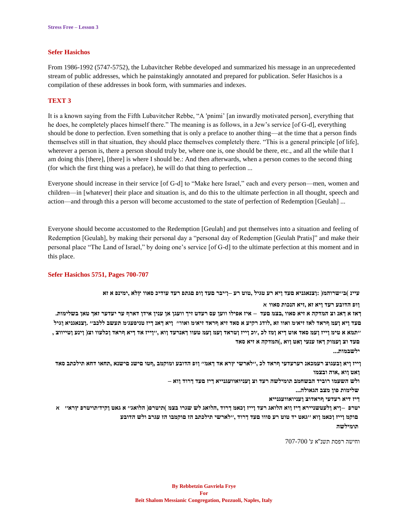#### **Sefer Hasichos**

From 1986-1992 (5747-5752), the Lubavitcher Rebbe developed and summarized his message in an unprecedented stream of public addresses, which he painstakingly annotated and prepared for publication. Sefer Hasichos is a compilation of these addresses in book form, with summaries and indexes.

#### **TEXT 3**

It is a known saying from the Fifth Lubavitcher Rebbe, "A 'pnimi' [an inwardly motivated person], everything that he does, he completely places himself there." The meaning is as follows, in a Jew's service [of G-d], everything should be done to perfection. Even something that is only a preface to another thing—at the time that a person finds themselves still in that situation, they should place themselves completely there. "This is a general principle [of life], wherever a person is, there a person should truly be, where one is, one should be there, etc., and all the while that I am doing this [there], [there] is where I should be.: And then afterwards, when a person comes to the second thing (for which the first thing was a preface), he will do that thing to perfection ...

Everyone should increase in their service [of G-d] to "Make here Israel," each and every person—men, women and children—in [whatever] their place and situation is, and do this to the ultimate perfection in all thought, speech and action—and through this a person will become accustomed to the state of perfection of Redemption [Geulah] ...

Everyone should become accustomed to the Redemption [Geulah] and put themselves into a situation and feeling of Redemption [Geulah], by making their personal day a "personal day of Redemption [Geulah Pratis]" and make their personal place "The Land of Israel," by doing one's service [of G-d] to the ultimate perfection at this moment and in this place.

#### **Sefer Hasichos 5751, Pages 700-707**

וא א ישרוהמ<br/>( :<br>דצנאגניא פעד ויא רע טגיל ,טוט רע בייכר פעד ויפר פונד ויא רע טגיל )<br/>גויא עיינ וישרוהמ

**ןופ הדובע רעד ןיא זא ,זיא הנכות סאוו** א

ראז א ךאנ וצ המדקה א זיא סאוו ,בצמ םעד – איז אפילו ווען עס רעדט זיך וועגן אן ענין אידן דארף ער יעדער זאך טאן בשלימות. **םעד ןיא ןעמ ףראד לאז זיא׳מ ואוו זא ,לודג רקיע א סאד זיא ףראד זיא׳מ ואוו׳׳ ןיא ךאנ ךיז טניפעג׳מ תעשב ללכב׳׳ .ןצנאגניא ןגיל ׳׳תמא א טימ ןייז ןעמ סאד אוט ךיא ןמז לכ ,׳וכ ןייז ןטראד ןעמ ןעמ טעוו ךאנרעד ןוא ,׳׳ןייז אד ךיא ףראד ןכלעוו וצ) ןינע ןטייווצ , םעד וצ ןעמוק ךאז ענעי ןּאט ןוא ,(המדקה א זיא סאד**

**ילשבמות...**

ןייז ויא ובעגוצ רעמכאנ רערעדעי ףראד לכ ,''לארשי ץרא אד דאמ'' ווס הדובע ומוקמב ,ףטו םישנ םישנא ,תחאו דחא תילכתב סאד **ןאט ןוא ,אוה ובצמו**

**ולש השעמו רוביד הבשחמב תומילשה רעד וצ ןעניואוועגנייא ךיז םעד ךרוד ןוא –**

**שלימות פון מצב הגאולה...**

**ךיז דיא רעדעי ףראדוצ ןעניואוועגנייא**

יטרפ –ויא ולעטשניירא דיז ווא הלואג רעד וייז וכאמ דרוד ,הלואג לש שגרו בצמ )תיטרפ( הלואג״ א גאט וקיד׳תויטרפ ץרא״ -א םוקמ זייז וכאמ ווא ׳׳גאט יד טוט רע סווו םעד דרוד ׳׳׳לארשי תילכתב הז םוקמבו הז עגרב ולש הדובע **תומילשה**

וחישה רפסת תשנ''א ע' 707-700